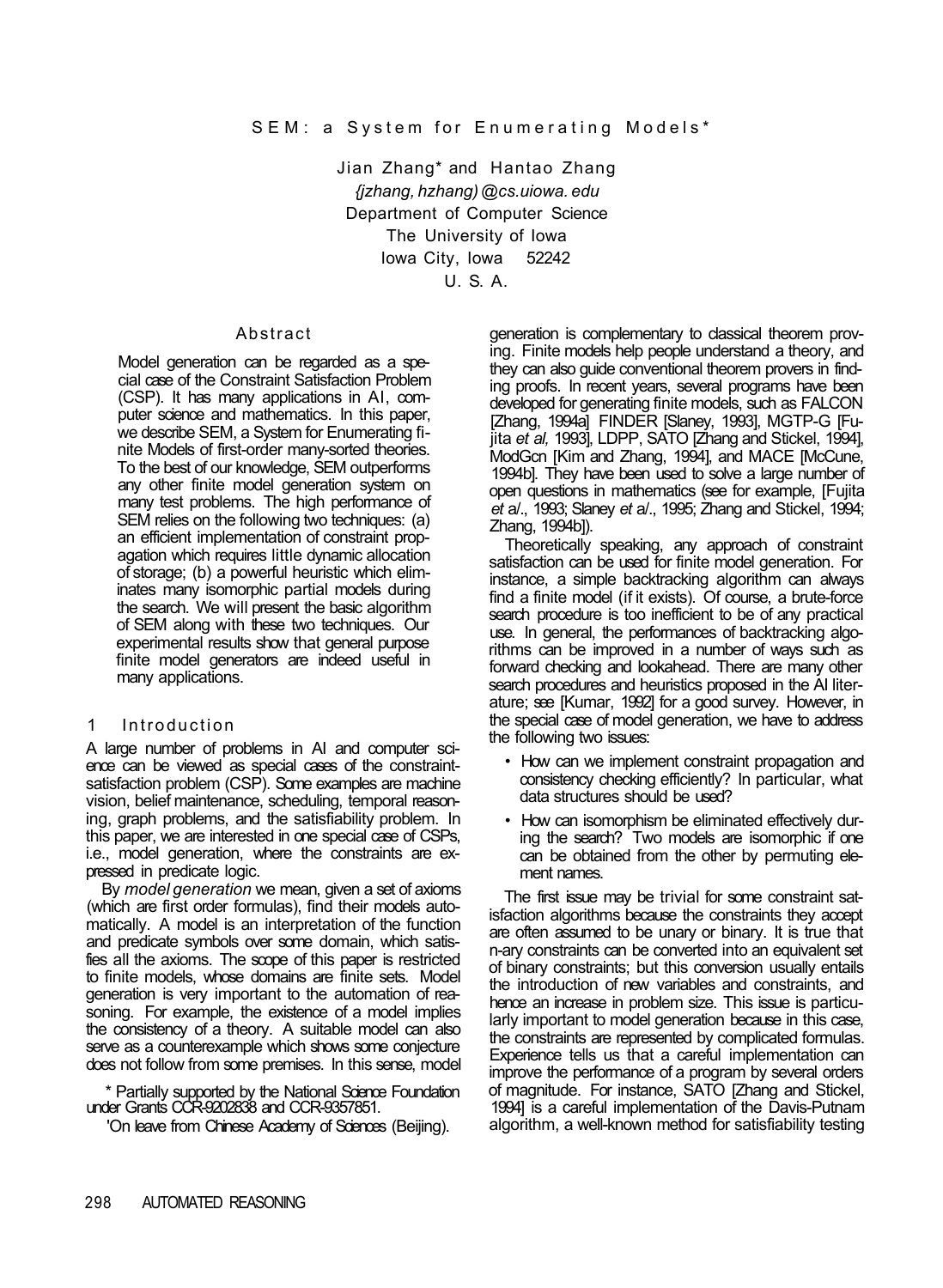Jian Zhang\* and Hantao Zhang *{jzhang, hzhang) @cs.uiowa. edu*  Department of Computer Science The University of Iowa Iowa City, Iowa 52242 U. S. A.

#### Abstract

Model generation can be regarded as a special case of the Constraint Satisfaction Problem (CSP). It has many applications in AI, computer science and mathematics. In this paper, we describe SEM, a System for Enumerating finite Models of first-order many-sorted theories. To the best of our knowledge, SEM outperforms any other finite model generation system on many test problems. The high performance of SEM relies on the following two techniques: (a) an efficient implementation of constraint propagation which requires little dynamic allocation of storage; (b) a powerful heuristic which eliminates many isomorphic partial models during the search. We will present the basic algorithm of SEM along with these two techniques. Our experimental results show that general purpose finite model generators are indeed useful in many applications.

## **Introduction**

A large number of problems in AI and computer science can be viewed as special cases of the constraintsatisfaction problem (CSP). Some examples are machine vision, belief maintenance, scheduling, temporal reasoning, graph problems, and the satisfiability problem. In this paper, we are interested in one special case of CSPs, i.e., model generation, where the constraints are expressed in predicate logic.

By *model generation* we mean, given a set of axioms (which are first order formulas), find their models automatically. A model is an interpretation of the function and predicate symbols over some domain, which satisfies all the axioms. The scope of this paper is restricted to finite models, whose domains are finite sets. Model generation is very important to the automation of reasoning. For example, the existence of a model implies the consistency of a theory. A suitable model can also serve as a counterexample which shows some conjecture does not follow from some premises. In this sense, model

\* Partially supported by the National Science Foundation under Grants CCR-9202838 and CCR-9357851.

'On leave from Chinese Academy of Sciences (Beijing).

generation is complementary to classical theorem proving. Finite models help people understand a theory, and they can also guide conventional theorem provers in finding proofs. In recent years, several programs have been developed for generating finite models, such as FALCON [Zhang, 1994a] FINDER [Slaney, 1993], MGTP-G [Fujita *et al,* 1993], LDPP, SATO [Zhang and Stickel, 1994], ModGcn [Kim and Zhang, 1994], and MACE [McCune, 1994b]. They have been used to solve a large number of open questions in mathematics (see for example, [Fujita *et* a/., 1993; Slaney *et* a/., 1995; Zhang and Stickel, 1994; Zhang, 1994b]).

Theoretically speaking, any approach of constraint satisfaction can be used for finite model generation. For instance, a simple backtracking algorithm can always find a finite model (if it exists). Of course, a brute-force search procedure is too inefficient to be of any practical use. In general, the performances of backtracking algorithms can be improved in a number of ways such as forward checking and lookahead. There are many other search procedures and heuristics proposed in the AI literature; see [Kumar, 1992] for a good survey. However, in the special case of model generation, we have to address the following two issues:

- How can we implement constraint propagation and consistency checking efficiently? In particular, what data structures should be used?
- How can isomorphism be eliminated effectively during the search? Two models are isomorphic if one can be obtained from the other by permuting element names.

The first issue may be trivial for some constraint satisfaction algorithms because the constraints they accept are often assumed to be unary or binary. It is true that n-ary constraints can be converted into an equivalent set of binary constraints; but this conversion usually entails the introduction of new variables and constraints, and hence an increase in problem size. This issue is particularly important to model generation because in this case, the constraints are represented by complicated formulas. Experience tells us that a careful implementation can improve the performance of a program by several orders of magnitude. For instance, SATO [Zhang and Stickel, 1994] is a careful implementation of the Davis-Putnam algorithm, a well-known method for satisfiability testing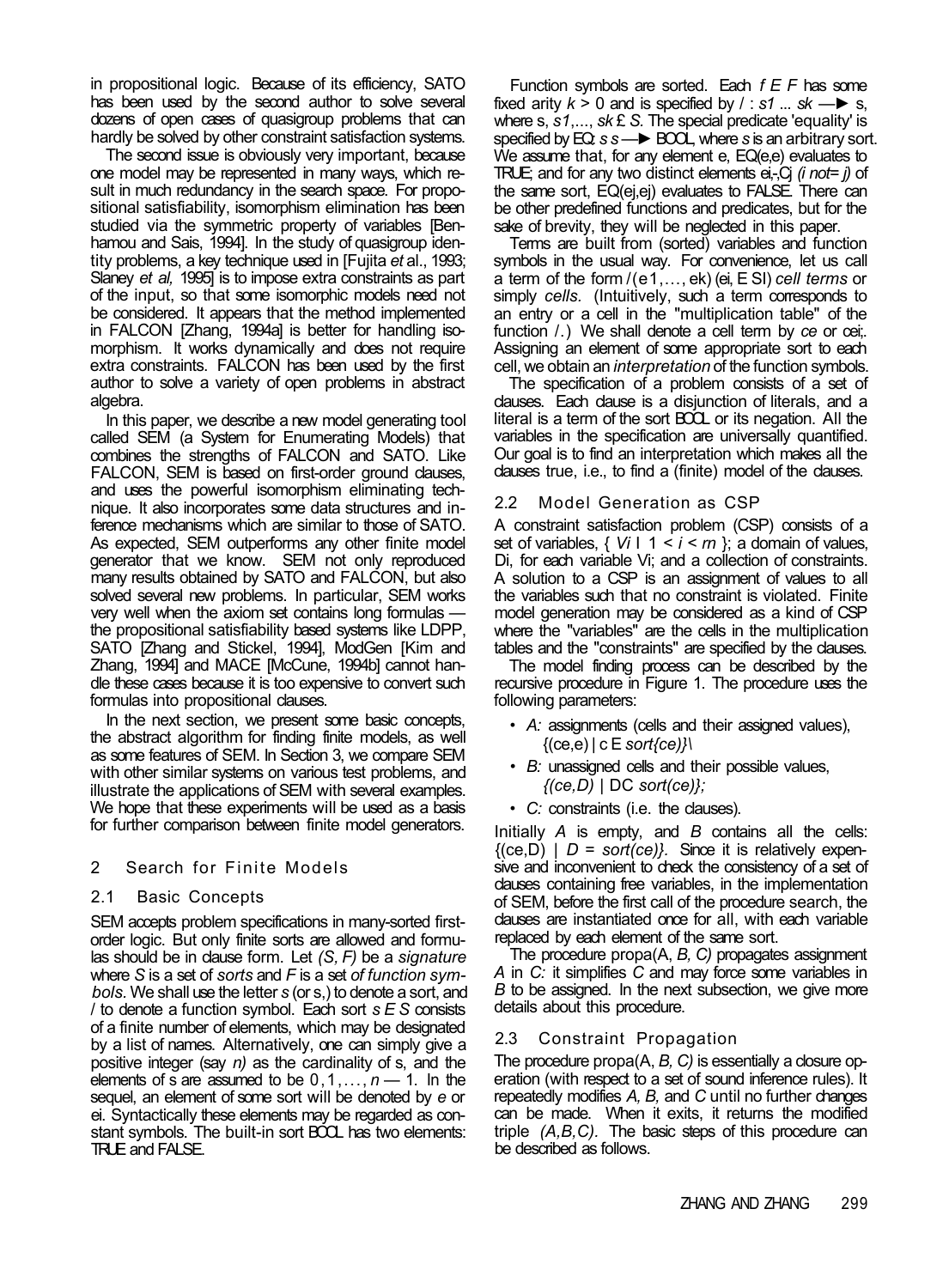in propositional logic. Because of its efficiency, SATO has been used by the second author to solve several dozens of open cases of quasigroup problems that can hardly be solved by other constraint satisfaction systems.

The second issue is obviously very important, because one model may be represented in many ways, which result in much redundancy in the search space. For propositional satisfiability, isomorphism elimination has been studied via the symmetric property of variables [Benhamou and Sais, 1994]. In the study of quasigroup identity problems, a key technique used in [Fujita *et* al., 1993; Slaney *et al,* 1995] is to impose extra constraints as part of the input, so that some isomorphic models need not be considered. It appears that the method implemented in FALCON [Zhang, 1994a] is better for handling isomorphism. It works dynamically and does not require extra constraints. FALCON has been used by the first author to solve a variety of open problems in abstract algebra.

In this paper, we describe a new model generating tool called SEM (a System for Enumerating Models) that combines the strengths of FALCON and SATO. Like FALCON, SEM is based on first-order ground clauses, and uses the powerful isomorphism eliminating technique. It also incorporates some data structures and inference mechanisms which are similar to those of SATO. As expected, SEM outperforms any other finite model generator that we know. SEM not only reproduced many results obtained by SATO and FALCON, but also solved several new problems. In particular, SEM works very well when the axiom set contains long formulas the propositional satisfiability based systems like LDPP, SATO [Zhang and Stickel, 1994], ModGen [Kim and Zhang, 1994] and MACE [McCune, 1994b] cannot handle these cases because it is too expensive to convert such formulas into propositional dauses.

In the next section, we present some basic concepts, the abstract algorithm for finding finite models, as well as some features of SEM. In Section 3, we compare SEM with other similar systems on various test problems, and illustrate the applications of SEM with several examples. We hope that these experiments will be used as a basis for further comparison between finite model generators.

## 2 Search for Finite Models

## 2.1 Basic Concepts

SEM accepts problem specifications in many-sorted firstorder logic. But only finite sorts are allowed and formulas should be in clause form. Let *(S, F)* be a *signature*  where *S* is a set of *sorts* and *F* is a set *of function symbols.* We shall use the letter *s* (or s,) to denote a sort, and / to denote a function symbol. Each sort *s E S* consists of a finite number of elements, which may be designated by a list of names. Alternatively, one can simply give a positive integer (say *n)* as the cardinality of s, and the elements of s are assumed to be 0,1,..., *n —* 1. In the sequel, an element of some sort will be denoted by *e* or ei. Syntactically these elements may be regarded as constant symbols. The built-in sort BOOL has two elements: TRUE and FALSE.

Function symbols are sorted. Each *f E F* has some fixed arity  $k > 0$  and is specified by  $/ : s1$  ... sk —► s, where s, *s1*,..., *sk* £ *S.* The special predicate 'equality' is specified by EQ:  $s$  s → BOOL, where *s* is an arbitrary sort. We assume that, for any element e, EQ(e,e) evaluates to TRUE; and for any two distinct elements ei,-,Cj *(i not= j)* of the same sort, EQ(ej,ej) evaluates to FALSE. There can be other predefined functions and predicates, but for the sake of brevity, they will be neglected in this paper.

Terms are built from (sorted) variables and function symbols in the usual way. For convenience, let us call a term of the form /(e1,..., ek) (ei, E SI) *cell terms* or simply *cells.* (Intuitively, such a term corresponds to an entry or a cell in the "multiplication table" of the function /.) We shall denote a cell term by *ce* or cei;. Assigning an element of some appropriate sort to each cell, we obtain an *interpretation* of the function symbols.

The specification of a problem consists of a set of clauses. Each clause is a disjunction of literals, and a literal is a term of the sort BOOL or its negation. All the variables in the specification are universally quantified. Our goal is to find an interpretation which makes all the clauses true, i.e., to find a (finite) model of the clauses.

## 2.2 Model Generation as CSP

A constraint satisfaction problem (CSP) consists of a set of variables,  $\{V_i | 1 \le i \le m\}$ ; a domain of values, Di, for each variable Vi; and a collection of constraints. A solution to a CSP is an assignment of values to all the variables such that no constraint is violated. Finite model generation may be considered as a kind of CSP where the "variables" are the cells in the multiplication tables and the "constraints" are specified by the clauses.

The model finding process can be described by the recursive procedure in Figure 1. The procedure uses the following parameters:

- • *A:* assignments (cells and their assigned values), {(ce,e) | c E *sort{ce)}\*
- • *B:* unassigned cells and their possible values, *{(ce,D)* | DC *sort(ce)};*
- • *C:* constraints (i.e. the clauses).

Initially *A* is empty, and *B* contains all the cells:  ${({\rm (ce,D)} \mid D = sort({\rm ce})}.$  Since it is relatively expensive and inconvenient to check the consistency of a set of clauses containing free variables, in the implementation of SEM, before the first call of the procedure search, the clauses are instantiated once for all, with each variable replaced by each element of the same sort.

The procedure propa(A, *B, C)* propagates assignment *A* in *C:* it simplifies *C* and may force some variables in *B* to be assigned. In the next subsection, we give more details about this procedure.

## 2.3 Constraint Propagation

The procedure propa(A, *B, C)* is essentially a closure operation (with respect to a set of sound inference rules). It repeatedly modifies *A, B,* and *C* until no further changes can be made. When it exits, it returns the modified triple *(A,B,C).* The basic steps of this procedure can be described as follows.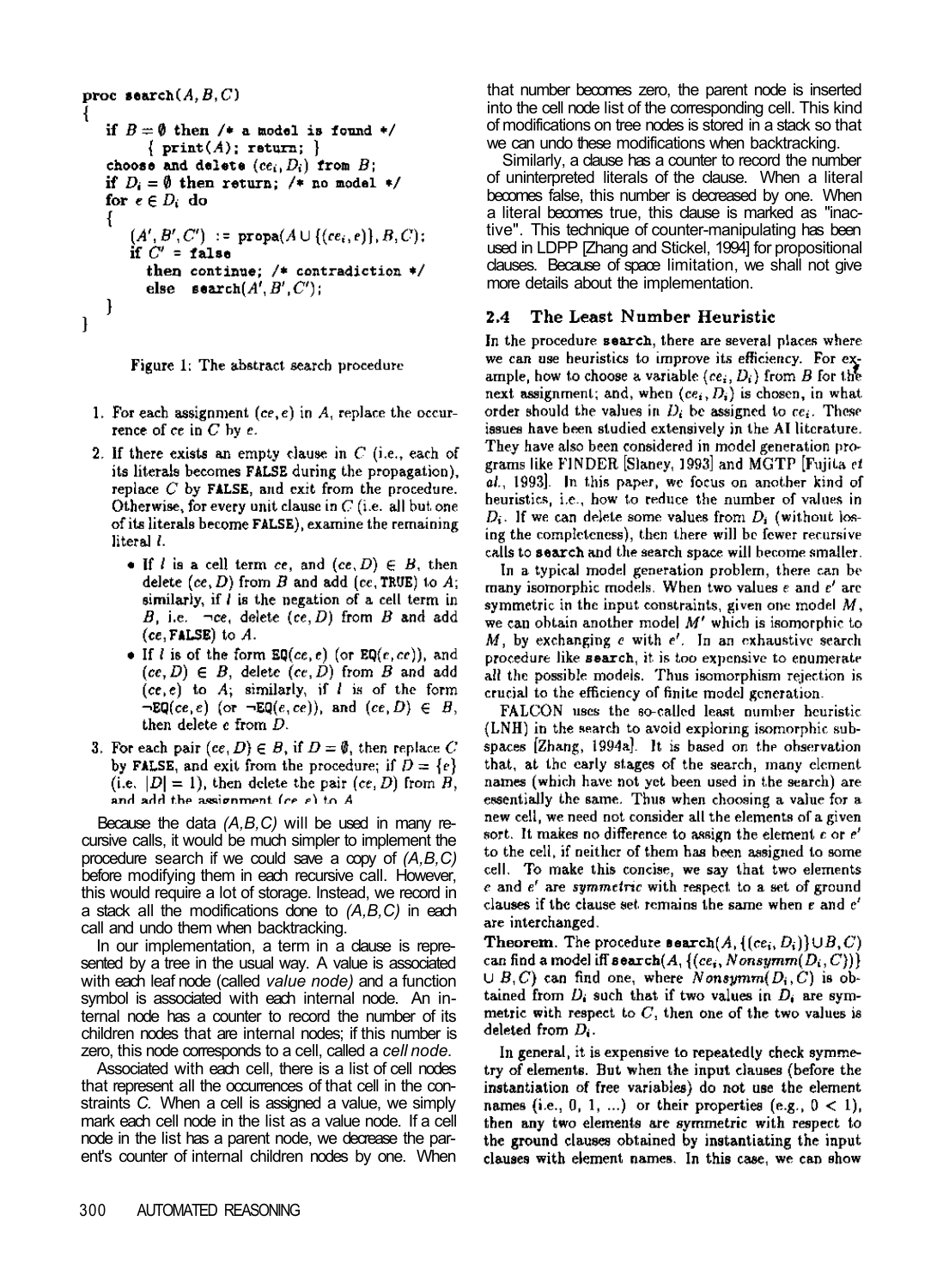```
proc \texttt{search}(A, B, C)Ł
   if B = \emptyset then /* a model is found */
          { print(A); return;}
    choose and delete (ce_i, D_i) from B;
   if D_i = \emptyset then return: /* no model */
   for e \in D_i do
    ł
       (A', B', C') := \text{propa}(A \cup \{(ce_i, e)\}, B, C);if C' = false
          then continue; /* contradiction */else search(A', B', C');
   \mathcal{E}\mathbf{I}
```


- 1. For each assignment (ce, e) in  $A$ , replace the occurrence of  $ce$  in  $C$  by  $e$ .
- 2. If there exists an empty clause in  $C$  (i.e., each of its literals becomes **FALSE** during the propagation). replace  $C$  by FALSE, and exit from the procedure. Otherwise, for every unit clause in  $C$  (i.e. all but one of its literals become FALSE), examine the remaining literal *l*.
	- If *l* is a cell term ce, and  $(ce, D) \in B$ , then delete  $(ce, D)$  from B and add  $(ce, TRUE)$  to A; similarly, if  $l$  is the negation of a cell term in B, i.e.  $\neg ce$ , delete (ce, D) from B and add  $(ce, FALSE)$  to  $A$ .
	- If *l* is of the form  $\mathbb{E}\mathbb{Q}(ce,e)$  (or  $\mathbb{E}\mathbb{Q}(e,ce)$ ), and  $(ce, D) \in B$ , delete  $(ce, D)$  from B and add  $(ce, e)$  to A; similarly, if *l* is of the form  $\neg \text{EQ}(ce, e)$  (or  $\neg \text{EQ}(e, ce)$ ), and  $(ce, D) \in B$ , then delete e from D.
- 3. For each pair  $(ce, D) \in B$ , if  $D = \emptyset$ , then replace C by FALSE, and exit from the procedure; if  $D = \{e\}$ (i.e.  $|D| = 1$ ), then delete the pair  $(ce, D)$  from  $B$ , and add the assignment (ce e) to A

Because the data *(A,B,C)* will be used in many recursive calls, it would be much simpler to implement the procedure search if we could save a copy of *(A,B,C)*  before modifying them in each recursive call. However, this would require a lot of storage. Instead, we record in a stack all the modifications done to *(A,B,C)* in each call and undo them when backtracking.

In our implementation, a term in a clause is represented by a tree in the usual way. A value is associated with each leaf node (called *value node)* and a function symbol is associated with each internal node. An internal node has a counter to record the number of its children nodes that are internal nodes; if this number is zero, this node corresponds to a cell, called a *cell node.* 

Associated with each cell, there is a list of cell nodes that represent all the occurrences of that cell in the constraints *C.* When a cell is assigned a value, we simply mark each cell node in the list as a value node. If a cell node in the list has a parent node, we decrease the parent's counter of internal children nodes by one. When that number becomes zero, the parent node is inserted into the cell node list of the corresponding cell. This kind of modifications on tree nodes is stored in a stack so that we can undo these modifications when backtracking.

Similarly, a clause has a counter to record the number of uninterpreted literals of the clause. When a literal becomes false, this number is decreased by one. When a literal becomes true, this clause is marked as "inactive". This technique of counter-manipulating has been used in LDPP [Zhang and Stickel, 1994] for propositional clauses. Because of space limitation, we shall not give more details about the implementation.

#### 2.4 The Least Number Heuristic

In the procedure search, there are several places where we can use heuristics to improve its efficiency. For example, how to choose a variable (ce,  $D_i$ ) from B for the next assignment; and, when  $(ce_i, D_i)$  is chosen, in what order should the values in  $D_i$  be assigned to  $ce_i$ . These issues have been studied extensively in the AI literature. They have also been considered in model generation programs like FINDER [Slaney, 1993] and MGTP [Fujita et al., 1993]. In this paper, we focus on another kind of heuristics, i.e., how to reduce the number of values in  $D_i$ . If we can delete some values from  $D_i$  (without losing the completeness), then there will be fewer recursive calls to search and the search space will become smaller.

In a typical model generation problem, there can be many isomorphic models. When two values  $e$  and  $e'$  are symmetric in the input constraints, given one model  $M$ , we can obtain another model  $M'$  which is isomorphic to  $M$ , by exchanging  $e$  with  $e'$ . In an exhaustive search procedure like search, it is too expensive to enumerate all the possible models. Thus isomorphism rejection is crucial to the efficiency of finite model generation.

FALCON uses the so-called least number heuristic (LNH) in the search to avoid exploring isomorphic subspaces [Zhang, 1994a]. It is based on the observation that, at the early stages of the search, many element names (which have not yet been used in the search) are essentially the same. Thus when choosing a value for a new cell, we need not consider all the elements of a given sort. It makes no difference to assign the element  $e$  or  $e'$ to the cell, if neither of them has been assigned to some cell. To make this concise, we say that two elements  $e$  and  $e'$  are symmetric with respect to a set of ground clauses if the clause set remains the same when e and e' are interchanged.

**Theorem.** The procedure **search** $(A, \{(ce_i, D_i)\} \cup B, C)$ can find a model iff  $\mathbf{search}(A, \{(ce_i, Nonsymm(D_i, C))\})$  $\cup$  B, C) can find one, where Nonsymm( $D_i$ , C) is obtained from  $D_i$  such that if two values in  $D_i$  are symmetric with respect to  $C$ , then one of the two values is deleted from  $D_i$ .

In general, it is expensive to repeatedly check symmetry of elements. But when the input clauses (before the instantiation of free variables) do not use the element names (i.e., 0, 1, ...) or their properties (e.g.,  $0 < 1$ ), then any two elements are symmetric with respect to the ground clauses obtained by instantiating the input clauses with element names. In this case, we can show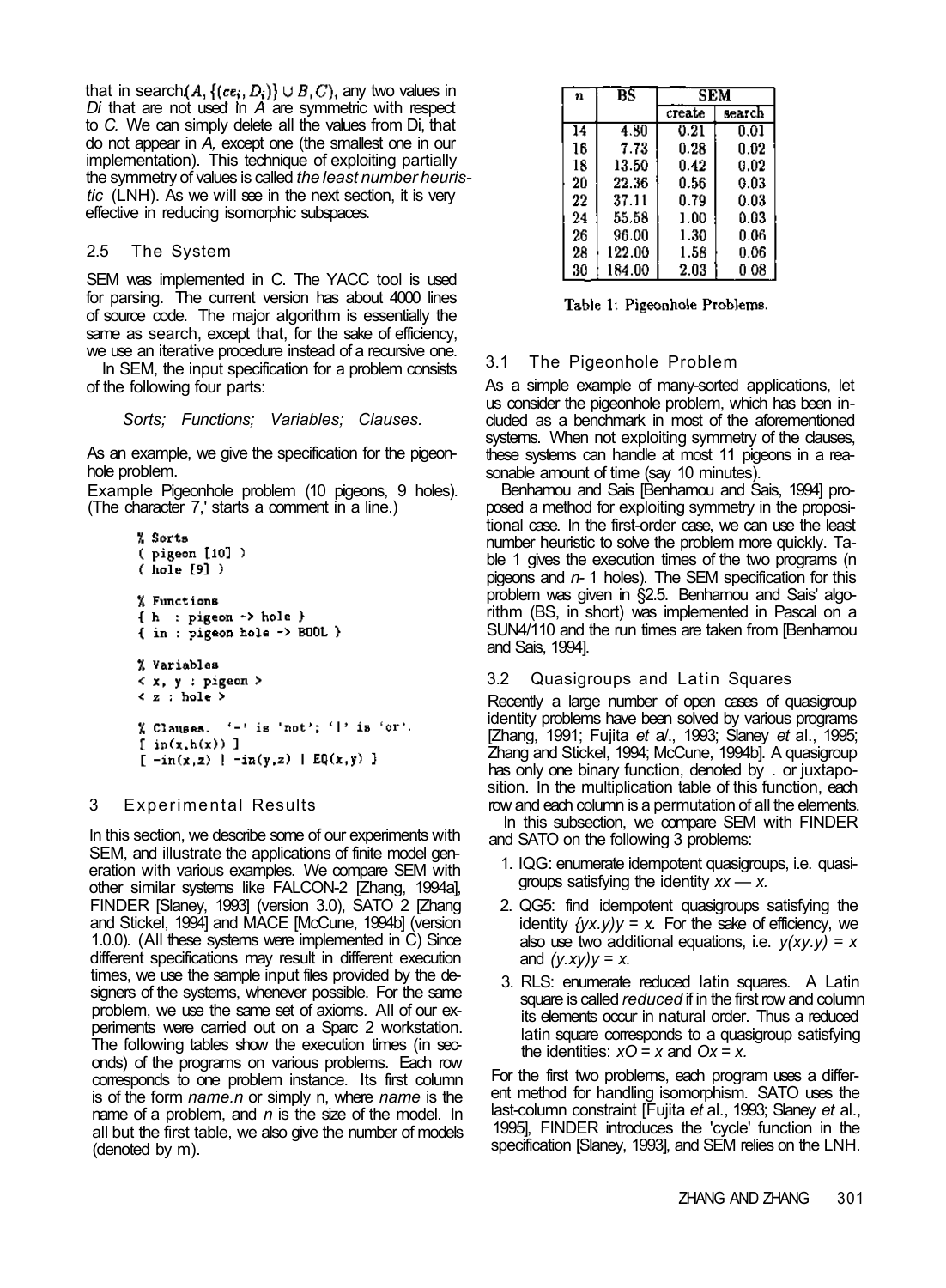that in search  $(A, \{ (ce_i, D_i) \} \cup B, C)$ , any two values in *Di* that are not used in *A* are symmetric with respect to *C.* We can simply delete all the values from Di, that do not appear in *A,* except one (the smallest one in our implementation). This technique of exploiting partially the symmetry of values is called *the least number heuristic* (LNH). As we will see in the next section, it is very effective in reducing isomorphic subspaces.

## 2.5 The System

SEM was implemented in C. The YACC tool is used for parsing. The current version has about 4000 lines of source code. The major algorithm is essentially the same as search, except that, for the sake of efficiency, we use an iterative procedure instead of a recursive one.

In SEM, the input specification for a problem consists of the following four parts:

## *Sorts; Functions; Variables; Clauses.*

As an example, we give the specification for the pigeonhole problem.

Example Pigeonhole problem (10 pigeons, 9 holes). (The character 7,' starts a comment in a line.)

```
% Sorts
(pigeon [10])
(hole[9])% Functions
\{ h : pigeon \rightarrow hole \}{ in : pigeon hole -> BOOL }
% Variables
\langle x, y : p \rangle responds \langle x, y \rangle< z : hole >
% Clauses. '-' is 'not'; '|' is 'or'.
[ in(x,h(x))][-in(x,z) + -in(y,z) + Eq(x,y)]
```
## 3 Experimental Results

In this section, we describe some of our experiments with SEM, and illustrate the applications of finite model generation with various examples. We compare SEM with other similar systems like FALCON-2 [Zhang, 1994a], FINDER [Slaney, 1993] (version 3.0), SATO 2 [Zhang and Stickel, 1994] and MACE [McCune, 1994b] (version 1.0.0). (All these systems were implemented in C) Since different specifications may result in different execution times, we use the sample input files provided by the designers of the systems, whenever possible. For the same problem, we use the same set of axioms. All of our experiments were carried out on a Sparc 2 workstation. The following tables show the execution times (in seconds) of the programs on various problems. Each row corresponds to one problem instance. Its first column is of the form *name.n* or simply n, where *name* is the name of a problem, and *n* is the size of the model. In all but the first table, we also give the number of models (denoted by m).

| n  | $_{BS}$ | SEM      |           |  |
|----|---------|----------|-----------|--|
|    |         | create   | search    |  |
| 14 | 4.80    | 0.21     | 0.01      |  |
| 16 | 7.73    | 0.28     | N.N2      |  |
| 18 | 13.50   | 0.42     | 0.02      |  |
| 20 | 22.36   | 0.56     | $_{0.03}$ |  |
| 22 | 37.11   | 0.79     | 0.03      |  |
| 24 | 55.58   | 1.00     | 0.03      |  |
| 26 | 96.00   | 1.30     | 0.06      |  |
| 28 | 122.00  | 1.58     | 0.06      |  |
| 30 | 184.00  | $2.03\,$ | 0.08      |  |

Table 1: Pigeonhole Problems.

# 3.1 The Pigeonhole Problem

As a simple example of many-sorted applications, let us consider the pigeonhole problem, which has been included as a benchmark in most of the aforementioned systems. When not exploiting symmetry of the clauses, these systems can handle at most 11 pigeons in a reasonable amount of time (say 10 minutes).

Benhamou and Sais [Benhamou and Sais, 1994] proposed a method for exploiting symmetry in the propositional case. In the first-order case, we can use the least number heuristic to solve the problem more quickly. Table 1 gives the execution times of the two programs (n pigeons and *n-* 1 holes). The SEM specification for this problem was given in §2.5. Benhamou and Sais' algorithm (BS, in short) was implemented in Pascal on a SUN4/110 and the run times are taken from [Benhamou and Sais, 1994].

## 3.2 Quasigroups and Latin Squares

Recently a large number of open cases of quasigroup identity problems have been solved by various programs [Zhang, 1991; Fujita *et* a/., 1993; Slaney *et* al., 1995; Zhang and Stickel, 1994; McCune, 1994b]. A quasigroup has only one binary function, denoted by . or juxtaposition. In the multiplication table of this function, each row and each column is a permutation of all the elements.

In this subsection, we compare SEM with FINDER and SATO on the following 3 problems:

- 1. IQG: enumerate idempotent quasigroups, i.e. quasigroups satisfying the identity *xx — x.*
- 2. QG5: find idempotent quasigroups satisfying the identity  $\frac{f(yx, y)}{y} = x$ . For the sake of efficiency, we also use two additional equations, i.e. *y(xy.y)* = *x*  and *(y.xy)y* = *x.*
- 3. RLS: enumerate reduced latin squares. A Latin square is called *reduced* if in the first row and column its elements occur in natural order. Thus a reduced latin square corresponds to a quasigroup satisfying the identities: *xO* = *x* and *Ox* = *x.*

For the first two problems, each program uses a different method for handling isomorphism. SATO uses the last-column constraint [Fujita *et* al., 1993; Slaney *et* al., 1995], FINDER introduces the 'cycle' function in the specification [Slaney, 1993], and SEM relies on the LNH.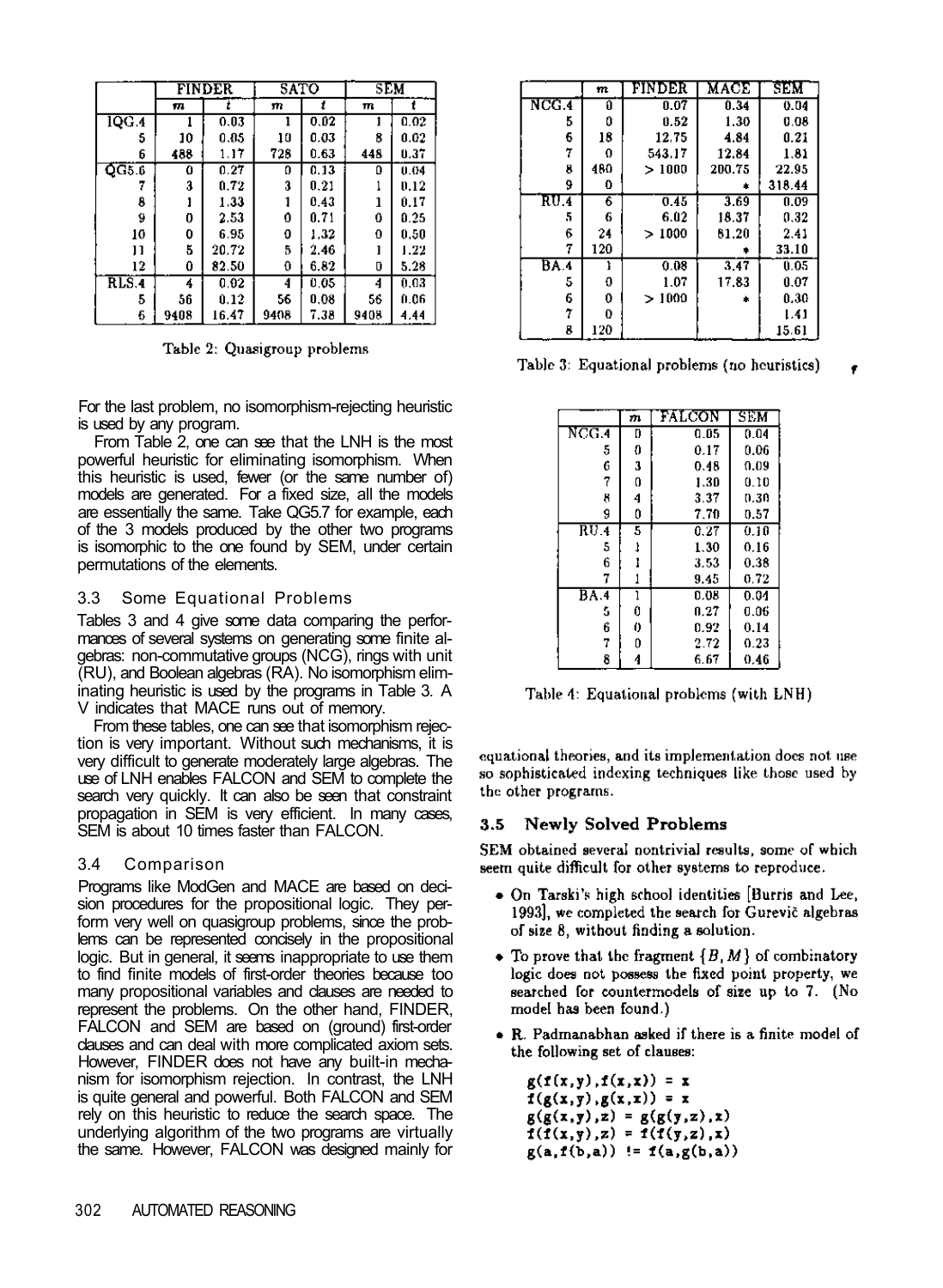|           | SATO<br><b>FINDER</b> |       | SEM  |      |      |      |
|-----------|-----------------------|-------|------|------|------|------|
|           | 171                   |       | m    | 1    | m    |      |
| 1QG.4     |                       | 0.03  | ı    | 0.02 | 1    | 0.02 |
| 5         | 10                    | 0.05  | 10   | 0.03 | 8    | 0.02 |
| 6         | 488                   | 1.17  | 728  | 0.63 | 448  | 0.37 |
| $QGE$ $6$ | 0                     | 0.27  | 0    | 0.13 | ٥    | 0.04 |
|           | a                     | 0.72  | 3    | 0.21 |      | 0.12 |
| 8         |                       | 1.33  |      | 0.43 | 1    | 0.17 |
| g         | 0                     | 2.53  | 0    | 0.71 | Ô    | 0.25 |
| 10        | 0                     | 6.95  | o    | 1.32 | 0    | 0.50 |
| П         | 5                     | 20.72 | 5    | 2.46 |      | 1.22 |
| 12        | 0                     | 82.50 | 0    | 6.82 | o    | 5.28 |
| RLS.4     | 4                     | 0.02  | 4    | 0.05 | 4    | 0.03 |
| 5         | 56                    | 0.12  | 56   | 0.08 | 56   | 0.06 |
| 6         | 9408                  | 16.47 | 9408 | 7.38 | 9408 | 4.44 |

Table 2: Quasigroup problems

For the last problem, no isomorphism-rejecting heuristic is used by any program.

From Table 2, one can see that the LNH is the most powerful heuristic for eliminating isomorphism. When this heuristic is used, fewer (or the same number of) models are generated. For a fixed size, all the models are essentially the same. Take QG5.7 for example, each of the 3 models produced by the other two programs is isomorphic to the one found by SEM, under certain permutations of the elements.

## 3.3 Some Equational Problems

Tables 3 and 4 give some data comparing the performances of several systems on generating some finite algebras: non-commutative groups (NCG), rings with unit (RU), and Boolean algebras (RA). No isomorphism eliminating heuristic is used by the programs in Table 3. A V indicates that MACE runs out of memory.

From these tables, one can see that isomorphism rejection is very important. Without such mechanisms, it is very difficult to generate moderately large algebras. The use of LNH enables FALCON and SEM to complete the search very quickly. It can also be seen that constraint propagation in SEM is very efficient. In many cases, SEM is about 10 times faster than FALCON.

## 3.4 Comparison

Programs like ModGen and MACE are based on decision procedures for the propositional logic. They perform very well on quasigroup problems, since the problems can be represented concisely in the propositional logic. But in general, it seems inappropriate to use them to find finite models of first-order theories because too many propositional variables and clauses are needed to represent the problems. On the other hand, FINDER, FALCON and SEM are based on (ground) first-order clauses and can deal with more complicated axiom sets. However, FINDER does not have any built-in mechanism for isomorphism rejection. In contrast, the LNH is quite general and powerful. Both FALCON and SEM rely on this heuristic to reduce the search space. The underlying algorithm of the two programs are virtually the same. However, FALCON was designed mainly for

|       | m   | FINDER | MACE   | SEM    |
|-------|-----|--------|--------|--------|
| NCG.4 | O   | 0.07   | 0.34   | 0.04   |
| 5     | Û   | 0.52   | 1.30   | 0.08   |
| 6     | 18  | 12.75  | 4.84   | 0.21   |
| 7     | 0   | 543.17 | 12.84  | 1.81   |
| 8     | 480 | >1000  | 200.75 | 22.95  |
| 9     | 0   |        |        | 318.44 |
| RU 4  | 6   | 0.45   | 3.69   | 0.09   |
| 5     | 6   | 6.02   | 18.37  | 0.32   |
| 6     | 24  | >1000  | 81.20  | 2.41   |
| 7     | 120 |        |        | 33.10  |
| BA 4  | ì   | 0.08   | 3.47   | 0.05   |
| 5     | 0   | 1.07   | 17.83  | 0.07   |
| 6     | 0   | >1000  |        | 0.30   |
| 7     | 0   |        |        | 1.41   |
| 8     | 120 |        |        | 15.61  |

Table 3: Equational problems (no heuristics)

|       | m | FALCON | SEM  |
|-------|---|--------|------|
| NCG.4 | D | 0.05   | 0.04 |
| 5     | O | 0.17   | 0.06 |
| 6     | 3 | 0.48   | 0.09 |
| 7     | 0 | 1.30   | 0.10 |
| 8     | 4 | 3.37   | 0.30 |
| g     | 0 | 7.70   | 0.57 |
| RU.4  | 5 | 0.27   | 0.10 |
| 5     | 1 | 1.30   | 0.16 |
| 6     |   | 3.53   | 0.38 |
| 7     |   | 9.45   | 0.72 |
| BA.4  | ī | 0.08   | 0.04 |
| š.    | 0 | 0.27   | 0.06 |
| 6     | 0 | 0.92   | 0.14 |
| 7     | 0 | 2.72   | 0.23 |
| 8     | 4 | 6.67   | 0.46 |

Table 4: Equational problems (with LNH)

equational theories, and its implementation does not use so sophisticated indexing techniques like those used by the other programs.

#### **Newly Solved Problems**  $3.5$

SEM obtained several nontrivial results, some of which seem quite difficult for other systems to reproduce.

- On Tarski's high school identities [Burris and Lee, 1993], we completed the search for Gurevič algebras of size 8, without finding a solution.
- To prove that the fragment  $\{B, M\}$  of combinatory logic does not possess the fixed point property, we searched for countermodels of size up to 7. (No model has been found.)
- . R. Padmanabhan asked if there is a finite model of the following set of clauses:

 $g(f(x,y),f(x,x)) = x$  $f(g(x,y),g(x,x)) = x$  $g(g(x,y),z) = g(g(y,z),x)$  $f(f(x,y),z) = f(f(y,z),x)$  $g(a, f(b, a)) := f(a, g(b, a))$